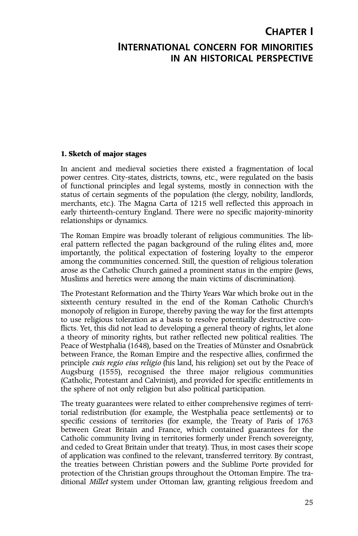# **CHAPTER I INTERNATIONAL CONCERN FOR MINORITIES IN AN HISTORICAL PERSPECTIVE**

#### **1. Sketch of major stages**

In ancient and medieval societies there existed a fragmentation of local power centres. City-states, districts, towns, etc., were regulated on the basis of functional principles and legal systems, mostly in connection with the status of certain segments of the population (the clergy, nobility, landlords, merchants, etc.). The Magna Carta of 1215 well reflected this approach in early thirteenth-century England. There were no specific majority-minority relationships or dynamics.

The Roman Empire was broadly tolerant of religious communities. The liberal pattern reflected the pagan background of the ruling élites and, more importantly, the political expectation of fostering loyalty to the emperor among the communities concerned. Still, the question of religious toleration arose as the Catholic Church gained a prominent status in the empire (Jews, Muslims and heretics were among the main victims of discrimination).

The Protestant Reformation and the Thirty Years War which broke out in the sixteenth century resulted in the end of the Roman Catholic Church's monopoly of religion in Europe, thereby paving the way for the first attempts to use religious toleration as a basis to resolve potentially destructive conflicts. Yet, this did not lead to developing a general theory of rights, let alone a theory of minority rights, but rather reflected new political realities. The Peace of Westphalia (1648), based on the Treaties of Münster and Osnabrück between France, the Roman Empire and the respective allies, confirmed the principle *cuis regio eius religio* (his land, his religion) set out by the Peace of Augsburg (1555), recognised the three major religious communities (Catholic, Protestant and Calvinist), and provided for specific entitlements in the sphere of not only religion but also political participation.

The treaty guarantees were related to either comprehensive regimes of territorial redistribution (for example, the Westphalia peace settlements) or to specific cessions of territories (for example, the Treaty of Paris of 1763 between Great Britain and France, which contained guarantees for the Catholic community living in territories formerly under French sovereignty, and ceded to Great Britain under that treaty). Thus, in most cases their scope of application was confined to the relevant, transferred territory. By contrast, the treaties between Christian powers and the Sublime Porte provided for protection of the Christian groups throughout the Ottoman Empire. The traditional *Millet* system under Ottoman law, granting religious freedom and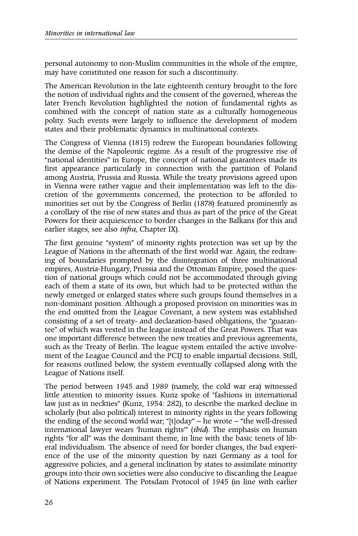personal autonomy to non-Muslim communities in the whole of the empire, may have constituted one reason for such a discontinuity.

The American Revolution in the late eighteenth century brought to the fore the notion of individual rights and the consent of the governed, whereas the later French Revolution highlighted the notion of fundamental rights as combined with the concept of nation state as a culturally homogeneous polity. Such events were largely to influence the development of modern states and their problematic dynamics in multinational contexts.

The Congress of Vienna (1815) redrew the European boundaries following the demise of the Napoleonic regime. As a result of the progressive rise of "national identities" in Europe, the concept of national guarantees made its first appearance particularly in connection with the partition of Poland among Austria, Prussia and Russia. While the treaty provisions agreed upon in Vienna were rather vague and their implementation was left to the discretion of the governments concerned, the protection to be afforded to minorities set out by the Congress of Berlin (1878) featured prominently as a corollary of the rise of new states and thus as part of the price of the Great Powers for their acquiescence to border changes in the Balkans (for this and earlier stages, see also *infra*, Chapter IX).

The first genuine "system" of minority rights protection was set up by the League of Nations in the aftermath of the first world war. Again, the redrawing of boundaries prompted by the disintegration of three multinational empires, Austria-Hungary, Prussia and the Ottoman Empire, posed the question of national groups which could not be accommodated through giving each of them a state of its own, but which had to be protected within the newly emerged or enlarged states where such groups found themselves in a non-dominant position. Although a proposed provision on minorities was in the end omitted from the League Covenant, a new system was established consisting of a set of treaty- and declaration-based obligations, the "guarantee" of which was vested in the league instead of the Great Powers. That was one important difference between the new treaties and previous agreements, such as the Treaty of Berlin. The league system entailed the active involvement of the League Council and the PCIJ to enable impartial decisions. Still, for reasons outlined below, the system eventually collapsed along with the League of Nations itself.

The period between 1945 and 1989 (namely, the cold war era) witnessed little attention to minority issues. Kunz spoke of "fashions in international law just as in neckties" (Kunz, 1954: 282), to describe the marked decline in scholarly (but also political) interest in minority rights in the years following the ending of the second world war; "[t]oday" – he wrote – "the well-dressed international lawyer wears 'human rights'" (*ibid*). The emphasis on human rights "for all" was the dominant theme, in line with the basic tenets of liberal individualism. The absence of need for border changes, the bad experience of the use of the minority question by nazi Germany as a tool for aggressive policies, and a general inclination by states to assimilate minority groups into their own societies were also conducive to discarding the League of Nations experiment. The Potsdam Protocol of 1945 (in line with earlier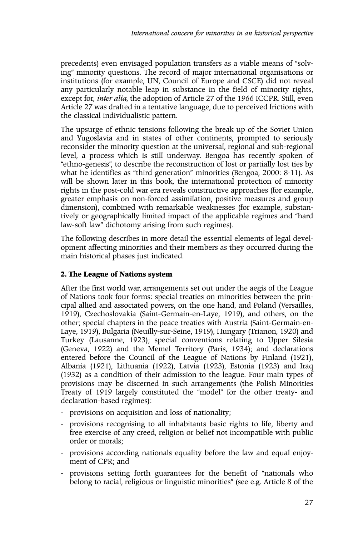precedents) even envisaged population transfers as a viable means of "solving" minority questions. The record of major international organisations or institutions (for example, UN, Council of Europe and CSCE) did not reveal any particularly notable leap in substance in the field of minority rights, except for, *inter alia*, the adoption of Article 27 of the 1966 ICCPR. Still, even Article 27 was drafted in a tentative language, due to perceived frictions with the classical individualistic pattern.

The upsurge of ethnic tensions following the break up of the Soviet Union and Yugoslavia and in states of other continents, prompted to seriously reconsider the minority question at the universal, regional and sub-regional level, a process which is still underway. Bengoa has recently spoken of "ethno-genesis", to describe the reconstruction of lost or partially lost ties by what he identifies as "third generation" minorities (Bengoa, 2000: 8-11). As will be shown later in this book, the international protection of minority rights in the post-cold war era reveals constructive approaches (for example, greater emphasis on non-forced assimilation, positive measures and group dimension), combined with remarkable weaknesses (for example, substantively or geographically limited impact of the applicable regimes and "hard law-soft law" dichotomy arising from such regimes).

The following describes in more detail the essential elements of legal development affecting minorities and their members as they occurred during the main historical phases just indicated.

# **2. The League of Nations system**

After the first world war, arrangements set out under the aegis of the League of Nations took four forms: special treaties on minorities between the principal allied and associated powers, on the one hand, and Poland (Versailles, 1919), Czechoslovakia (Saint-Germain-en-Laye, 1919), and others, on the other; special chapters in the peace treaties with Austria (Saint-Germain-en-Laye, 1919), Bulgaria (Neuilly-sur-Seine, 1919), Hungary (Trianon, 1920) and Turkey (Lausanne, 1923); special conventions relating to Upper Silesia (Geneva, 1922) and the Memel Territory (Paris, 1934); and declarations entered before the Council of the League of Nations by Finland (1921), Albania (1921), Lithuania (1922), Latvia (1923), Estonia (1923) and Iraq (1932) as a condition of their admission to the league. Four main types of provisions may be discerned in such arrangements (the Polish Minorities Treaty of 1919 largely constituted the "model" for the other treaty- and declaration-based regimes):

- provisions on acquisition and loss of nationality;
- provisions recognising to all inhabitants basic rights to life, liberty and free exercise of any creed, religion or belief not incompatible with public order or morals;
- provisions according nationals equality before the law and equal enjoyment of CPR; and
- provisions setting forth guarantees for the benefit of "nationals who belong to racial, religious or linguistic minorities" (see e.g. Article 8 of the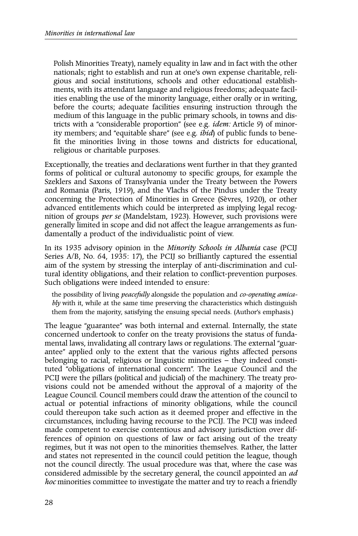Polish Minorities Treaty), namely equality in law and in fact with the other nationals; right to establish and run at one's own expense charitable, religious and social institutions, schools and other educational establishments, with its attendant language and religious freedoms; adequate facilities enabling the use of the minority language, either orally or in writing, before the courts; adequate facilities ensuring instruction through the medium of this language in the public primary schools, in towns and districts with a "considerable proportion" (see e.g. *idem:* Article 9) of minority members; and "equitable share" (see e.g. *ibid*) of public funds to benefit the minorities living in those towns and districts for educational, religious or charitable purposes.

Exceptionally, the treaties and declarations went further in that they granted forms of political or cultural autonomy to specific groups, for example the Szeklers and Saxons of Transylvania under the Treaty between the Powers and Romania (Paris, 1919), and the Vlachs of the Pindus under the Treaty concerning the Protection of Minorities in Greece (Sèvres, 1920), or other advanced entitlements which could be interpreted as implying legal recognition of groups *per se* (Mandelstam, 1923). However, such provisions were generally limited in scope and did not affect the league arrangements as fundamentally a product of the individualistic point of view.

In its 1935 advisory opinion in the *Minority Schools in Albania* case (PCIJ Series A/B, No. 64, 1935: 17), the PCIJ so brilliantly captured the essential aim of the system by stressing the interplay of anti-discrimination and cultural identity obligations, and their relation to conflict-prevention purposes. Such obligations were indeed intended to ensure:

the possibility of living *peacefully* alongside the population and *co-operating amicably* with it, while at the same time preserving the characteristics which distinguish them from the majority, satisfying the ensuing special needs. (Author's emphasis.)

The league "guarantee" was both internal and external. Internally, the state concerned undertook to confer on the treaty provisions the status of fundamental laws, invalidating all contrary laws or regulations. The external "guarantee" applied only to the extent that the various rights affected persons belonging to racial, religious or linguistic minorities – they indeed constituted "obligations of international concern". The League Council and the PCIJ were the pillars (political and judicial) of the machinery. The treaty provisions could not be amended without the approval of a majority of the League Council. Council members could draw the attention of the council to actual or potential infractions of minority obligations, while the council could thereupon take such action as it deemed proper and effective in the circumstances, including having recourse to the PCIJ. The PCIJ was indeed made competent to exercise contentious and advisory jurisdiction over differences of opinion on questions of law or fact arising out of the treaty regimes, but it was not open to the minorities themselves. Rather, the latter and states not represented in the council could petition the league, though not the council directly. The usual procedure was that, where the case was considered admissible by the secretary general, the council appointed an *ad hoc* minorities committee to investigate the matter and try to reach a friendly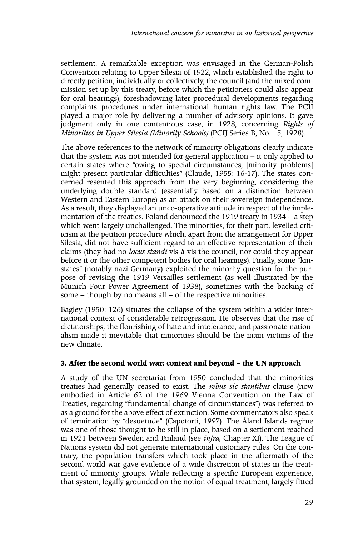settlement. A remarkable exception was envisaged in the German-Polish Convention relating to Upper Silesia of 1922, which established the right to directly petition, individually or collectively, the council (and the mixed commission set up by this treaty, before which the petitioners could also appear for oral hearings), foreshadowing later procedural developments regarding complaints procedures under international human rights law. The PCIJ played a major role by delivering a number of advisory opinions. It gave judgment only in one contentious case, in 1928, concerning *Rights of Minorities in Upper Silesia (Minority Schools)* (PCIJ Series B, No. 15, 1928).

The above references to the network of minority obligations clearly indicate that the system was not intended for general application – it only applied to certain states where "owing to special circumstances, [minority problems] might present particular difficulties" (Claude, 1955: 16-17). The states concerned resented this approach from the very beginning, considering the underlying double standard (essentially based on a distinction between Western and Eastern Europe) as an attack on their sovereign independence. As a result, they displayed an unco-operative attitude in respect of the implementation of the treaties. Poland denounced the 1919 treaty in 1934 – a step which went largely unchallenged. The minorities, for their part, levelled criticism at the petition procedure which, apart from the arrangement for Upper Silesia, did not have sufficient regard to an effective representation of their claims (they had no *locus standi* vis-à-vis the council, nor could they appear before it or the other competent bodies for oral hearings). Finally, some "kinstates" (notably nazi Germany) exploited the minority question for the purpose of revising the 1919 Versailles settlement (as well illustrated by the Munich Four Power Agreement of 1938), sometimes with the backing of some – though by no means all – of the respective minorities.

Bagley (1950: 126) situates the collapse of the system within a wider international context of considerable retrogression. He observes that the rise of dictatorships, the flourishing of hate and intolerance, and passionate nationalism made it inevitable that minorities should be the main victims of the new climate.

## **3. After the second world war: context and beyond – the UN approach**

A study of the UN secretariat from 1950 concluded that the minorities treaties had generally ceased to exist. The *rebus sic stantibus* clause (now embodied in Article 62 of the 1969 Vienna Convention on the Law of Treaties, regarding "fundamental change of circumstances") was referred to as a ground for the above effect of extinction. Some commentators also speak of termination by "desuetude" (Capotorti, 1997). The Åland Islands regime was one of those thought to be still in place, based on a settlement reached in 1921 between Sweden and Finland (see *infra*, Chapter XI). The League of Nations system did not generate international customary rules. On the contrary, the population transfers which took place in the aftermath of the second world war gave evidence of a wide discretion of states in the treatment of minority groups. While reflecting a specific European experience, that system, legally grounded on the notion of equal treatment, largely fitted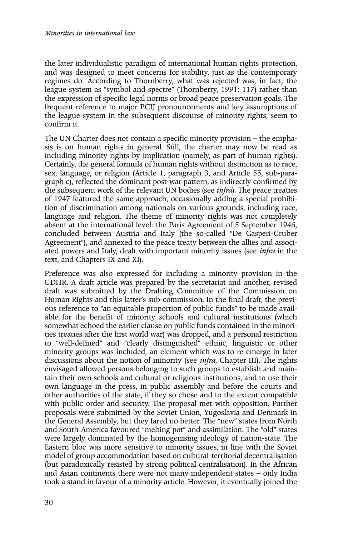the later individualistic paradigm of international human rights protection, and was designed to meet concerns for stability, just as the contemporary regimes do. According to Thornberry, what was rejected was, in fact, the league system as "symbol and spectre" (Thornberry, 1991: 117) rather than the expression of specific legal norms or broad peace preservation goals. The frequent reference to major PCIJ pronouncements and key assumptions of the league system in the subsequent discourse of minority rights, seem to confirm it.

The UN Charter does not contain a specific minority provision – the emphasis is on human rights in general. Still, the charter may now be read as including minority rights by implication (namely, as part of human rights). Certainly, the general formula of human rights without distinction as to race, sex, language, or religion (Article 1, paragraph 3, and Article 55, sub-paragraph c), reflected the dominant post-war pattern, as indirectly confirmed by the subsequent work of the relevant UN bodies (see *infra*). The peace treaties of 1947 featured the same approach, occasionally adding a special prohibition of discrimination among nationals on various grounds, including race, language and religion. The theme of minority rights was not completely absent at the international level: the Paris Agreement of 5 September 1946, concluded between Austria and Italy (the so-called "De Gasperi-Gruber Agreement"), and annexed to the peace treaty between the allies and associated powers and Italy, dealt with important minority issues (see *infra* in the text, and Chapters IX and XI).

Preference was also expressed for including a minority provision in the UDHR. A draft article was prepared by the secretariat and another, revised draft was submitted by the Drafting Committee of the Commission on Human Rights and this latter's sub-commission. In the final draft, the previous reference to "an equitable proportion of public funds" to be made available for the benefit of minority schools and cultural institutions (which somewhat echoed the earlier clause on public funds contained in the minorities treaties after the first world war) was dropped, and a personal restriction to "well-defined" and "clearly distinguished" ethnic, linguistic or other minority groups was included, an element which was to re-emerge in later discussions about the notion of minority (see *infra*, Chapter III). The rights envisaged allowed persons belonging to such groups to establish and maintain their own schools and cultural or religious institutions, and to use their own language in the press, in public assembly and before the courts and other authorities of the state, if they so chose and to the extent compatible with public order and security. The proposal met with opposition. Further proposals were submitted by the Soviet Union, Yugoslavia and Denmark in the General Assembly, but they fared no better. The "new" states from North and South America favoured "melting pot" and assimilation. The "old" states were largely dominated by the homogenising ideology of nation-state. The Eastern bloc was more sensitive to minority issues, in line with the Soviet model of group accommodation based on cultural-territorial decentralisation (but paradoxically resisted by strong political centralisation). In the African and Asian continents there were not many independent states – only India took a stand in favour of a minority article. However, it eventually joined the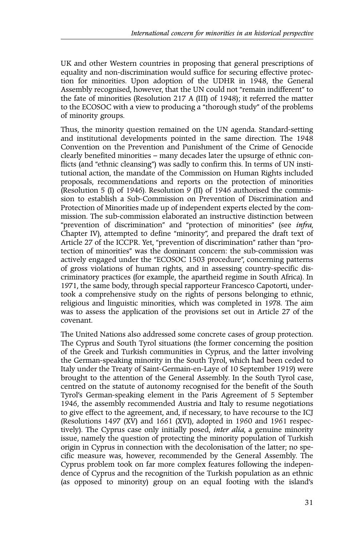UK and other Western countries in proposing that general prescriptions of equality and non-discrimination would suffice for securing effective protection for minorities. Upon adoption of the UDHR in 1948, the General Assembly recognised, however, that the UN could not "remain indifferent" to the fate of minorities (Resolution 217 A (III) of 1948); it referred the matter to the ECOSOC with a view to producing a "thorough study" of the problems of minority groups.

Thus, the minority question remained on the UN agenda. Standard-setting and institutional developments pointed in the same direction. The 1948 Convention on the Prevention and Punishment of the Crime of Genocide clearly benefited minorities – many decades later the upsurge of ethnic conflicts (and "ethnic cleansing") was sadly to confirm this. In terms of UN institutional action, the mandate of the Commission on Human Rights included proposals, recommendations and reports on the protection of minorities (Resolution 5 (I) of 1946). Resolution 9 (II) of 1946 authorised the commission to establish a Sub-Commission on Prevention of Discrimination and Protection of Minorities made up of independent experts elected by the commission. The sub-commission elaborated an instructive distinction between "prevention of discrimination" and "protection of minorities" (see *infra*, Chapter IV), attempted to define "minority", and prepared the draft text of Article 27 of the ICCPR. Yet, "prevention of discrimination" rather than "protection of minorities" was the dominant concern: the sub-commission was actively engaged under the "ECOSOC 1503 procedure", concerning patterns of gross violations of human rights, and in assessing country-specific discriminatory practices (for example, the apartheid regime in South Africa). In 1971, the same body, through special rapporteur Francesco Capotorti, undertook a comprehensive study on the rights of persons belonging to ethnic, religious and linguistic minorities, which was completed in 1978. The aim was to assess the application of the provisions set out in Article 27 of the covenant.

The United Nations also addressed some concrete cases of group protection. The Cyprus and South Tyrol situations (the former concerning the position of the Greek and Turkish communities in Cyprus, and the latter involving the German-speaking minority in the South Tyrol, which had been ceded to Italy under the Treaty of Saint-Germain-en-Laye of 10 September 1919) were brought to the attention of the General Assembly. In the South Tyrol case, centred on the statute of autonomy recognised for the benefit of the South Tyrol's German-speaking element in the Paris Agreement of 5 September 1946, the assembly recommended Austria and Italy to resume negotiations to give effect to the agreement, and, if necessary, to have recourse to the ICJ (Resolutions 1497 (XV) and 1661 (XVI), adopted in 1960 and 1961 respectively). The Cyprus case only initially posed, *inter alia*, a genuine minority issue, namely the question of protecting the minority population of Turkish origin in Cyprus in connection with the decolonisation of the latter; no specific measure was, however, recommended by the General Assembly. The Cyprus problem took on far more complex features following the independence of Cyprus and the recognition of the Turkish population as an ethnic (as opposed to minority) group on an equal footing with the island's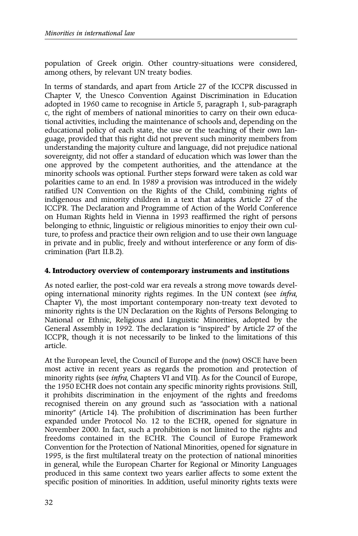population of Greek origin. Other country-situations were considered, among others, by relevant UN treaty bodies.

In terms of standards, and apart from Article 27 of the ICCPR discussed in Chapter V, the Unesco Convention Against Discrimination in Education adopted in 1960 came to recognise in Article 5, paragraph 1, sub-paragraph c, the right of members of national minorities to carry on their own educational activities, including the maintenance of schools and, depending on the educational policy of each state, the use or the teaching of their own language, provided that this right did not prevent such minority members from understanding the majority culture and language, did not prejudice national sovereignty, did not offer a standard of education which was lower than the one approved by the competent authorities, and the attendance at the minority schools was optional. Further steps forward were taken as cold war polarities came to an end. In 1989 a provision was introduced in the widely ratified UN Convention on the Rights of the Child, combining rights of indigenous and minority children in a text that adapts Article 27 of the ICCPR. The Declaration and Programme of Action of the World Conference on Human Rights held in Vienna in 1993 reaffirmed the right of persons belonging to ethnic, linguistic or religious minorities to enjoy their own culture, to profess and practice their own religion and to use their own language in private and in public, freely and without interference or any form of discrimination (Part II.B.2).

## **4. Introductory overview of contemporary instruments and institutions**

As noted earlier, the post-cold war era reveals a strong move towards developing international minority rights regimes. In the UN context (see *infra*, Chapter V), the most important contemporary non-treaty text devoted to minority rights is the UN Declaration on the Rights of Persons Belonging to National or Ethnic, Religious and Linguistic Minorities, adopted by the General Assembly in 1992. The declaration is "inspired" by Article 27 of the ICCPR, though it is not necessarily to be linked to the limitations of this article.

At the European level, the Council of Europe and the (now) OSCE have been most active in recent years as regards the promotion and protection of minority rights (see *infra*, Chapters VI and VII). As for the Council of Europe, the 1950 ECHR does not contain any specific minority rights provisions. Still, it prohibits discrimination in the enjoyment of the rights and freedoms recognised therein on any ground such as "association with a national minority" (Article 14). The prohibition of discrimination has been further expanded under Protocol No. 12 to the ECHR, opened for signature in November 2000. In fact, such a prohibition is not limited to the rights and freedoms contained in the ECHR. The Council of Europe Framework Convention for the Protection of National Minorities, opened for signature in 1995, is the first multilateral treaty on the protection of national minorities in general, while the European Charter for Regional or Minority Languages produced in this same context two years earlier affects to some extent the specific position of minorities. In addition, useful minority rights texts were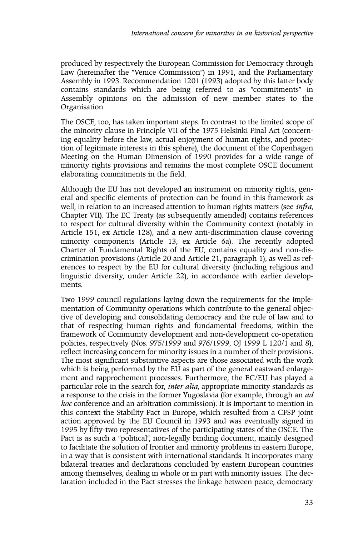produced by respectively the European Commission for Democracy through Law (hereinafter the "Venice Commission") in 1991, and the Parliamentary Assembly in 1993. Recommendation 1201 (1993) adopted by this latter body contains standards which are being referred to as "commitments" in Assembly opinions on the admission of new member states to the Organisation.

The OSCE, too, has taken important steps. In contrast to the limited scope of the minority clause in Principle VII of the 1975 Helsinki Final Act (concerning equality before the law, actual enjoyment of human rights, and protection of legitimate interests in this sphere), the document of the Copenhagen Meeting on the Human Dimension of 1990 provides for a wide range of minority rights provisions and remains the most complete OSCE document elaborating commitments in the field.

Although the EU has not developed an instrument on minority rights, general and specific elements of protection can be found in this framework as well, in relation to an increased attention to human rights matters (see *infra*, Chapter VII). The EC Treaty (as subsequently amended) contains references to respect for cultural diversity within the Community context (notably in Article 151, ex Article 128), and a new anti-discrimination clause covering minority components (Article 13, ex Article 6a). The recently adopted Charter of Fundamental Rights of the EU, contains equality and non-discrimination provisions (Article 20 and Article 21, paragraph 1), as well as references to respect by the EU for cultural diversity (including religious and linguistic diversity, under Article 22), in accordance with earlier developments.

Two 1999 council regulations laying down the requirements for the implementation of Community operations which contribute to the general objective of developing and consolidating democracy and the rule of law and to that of respecting human rights and fundamental freedoms, within the framework of Community development and non-development co-operation policies, respectively (Nos. 975/1999 and 976/1999, OJ 1999 L 120/1 and 8), reflect increasing concern for minority issues in a number of their provisions. The most significant substantive aspects are those associated with the work which is being performed by the EU as part of the general eastward enlargement and rapprochement processes. Furthermore, the EC/EU has played a particular role in the search for, *inter alia*, appropriate minority standards as a response to the crisis in the former Yugoslavia (for example, through an *ad hoc* conference and an arbitration commission). It is important to mention in this context the Stability Pact in Europe, which resulted from a CFSP joint action approved by the EU Council in 1993 and was eventually signed in 1995 by fifty-two representatives of the participating states of the OSCE. The Pact is as such a "political", non-legally binding document, mainly designed to facilitate the solution of frontier and minority problems in eastern Europe, in a way that is consistent with international standards. It incorporates many bilateral treaties and declarations concluded by eastern European countries among themselves, dealing in whole or in part with minority issues. The declaration included in the Pact stresses the linkage between peace, democracy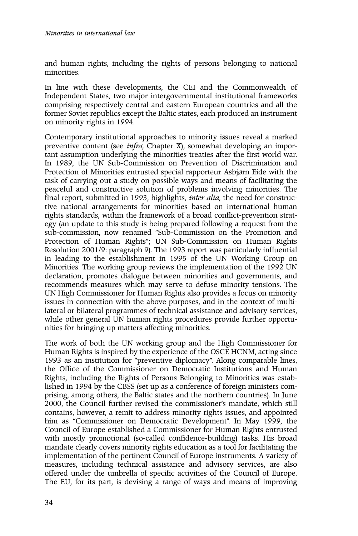and human rights, including the rights of persons belonging to national minorities.

In line with these developments, the CEI and the Commonwealth of Independent States, two major intergovernmental institutional frameworks comprising respectively central and eastern European countries and all the former Soviet republics except the Baltic states, each produced an instrument on minority rights in 1994.

Contemporary institutional approaches to minority issues reveal a marked preventive content (see *infra*, Chapter X), somewhat developing an important assumption underlying the minorities treaties after the first world war. In 1989, the UN Sub-Commission on Prevention of Discrimination and Protection of Minorities entrusted special rapporteur Asbjørn Eide with the task of carrying out a study on possible ways and means of facilitating the peaceful and constructive solution of problems involving minorities. The final report, submitted in 1993, highlights, *inter alia*, the need for constructive national arrangements for minorities based on international human rights standards, within the framework of a broad conflict-prevention strategy (an update to this study is being prepared following a request from the sub-commission, now renamed "Sub-Commission on the Promotion and Protection of Human Rights"; UN Sub-Commission on Human Rights Resolution 2001/9: paragraph 9). The 1993 report was particularly influential in leading to the establishment in 1995 of the UN Working Group on Minorities. The working group reviews the implementation of the 1992 UN declaration, promotes dialogue between minorities and governments, and recommends measures which may serve to defuse minority tensions. The UN High Commissioner for Human Rights also provides a focus on minority issues in connection with the above purposes, and in the context of multilateral or bilateral programmes of technical assistance and advisory services, while other general UN human rights procedures provide further opportunities for bringing up matters affecting minorities.

The work of both the UN working group and the High Commissioner for Human Rights is inspired by the experience of the OSCE HCNM, acting since 1993 as an institution for "preventive diplomacy". Along comparable lines, the Office of the Commissioner on Democratic Institutions and Human Rights, including the Rights of Persons Belonging to Minorities was established in 1994 by the CBSS (set up as a conference of foreign ministers comprising, among others, the Baltic states and the northern countries). In June 2000, the Council further revised the commissioner's mandate, which still contains, however, a remit to address minority rights issues, and appointed him as "Commissioner on Democratic Development". In May 1999, the Council of Europe established a Commissioner for Human Rights entrusted with mostly promotional (so-called confidence-building) tasks. His broad mandate clearly covers minority rights education as a tool for facilitating the implementation of the pertinent Council of Europe instruments. A variety of measures, including technical assistance and advisory services, are also offered under the umbrella of specific activities of the Council of Europe. The EU, for its part, is devising a range of ways and means of improving